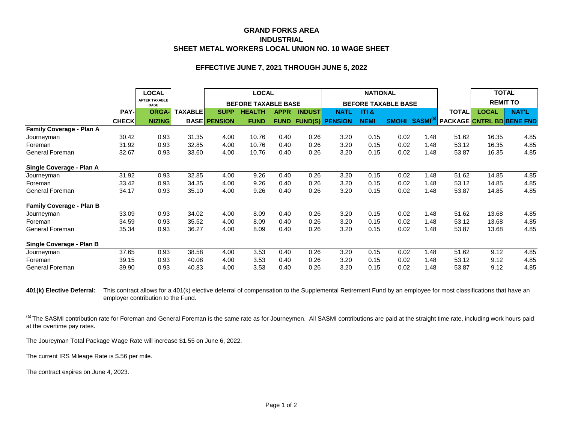## **GRAND FORKS AREA INDUSTRIAL SHEET METAL WORKERS LOCAL UNION NO. 10 WAGE SHEET**

## **EFFECTIVE JUNE 7, 2021 THROUGH JUNE 5, 2022**

|                                 |              | <b>LOCAL</b>                        |                | <b>LOCAL</b><br><b>BEFORE TAXABLE BASE</b> |               |             |               | <b>NATIONAL</b><br><b>BEFORE TAXABLE BASE</b> |             |              |                      |                                  | <b>TOTAL</b><br><b>REMIT TO</b> |              |
|---------------------------------|--------------|-------------------------------------|----------------|--------------------------------------------|---------------|-------------|---------------|-----------------------------------------------|-------------|--------------|----------------------|----------------------------------|---------------------------------|--------------|
|                                 |              | <b>AFTER TAXABLE</b><br><b>BASE</b> |                |                                            |               |             |               |                                               |             |              |                      |                                  |                                 |              |
|                                 | <b>PAY-</b>  | <b>ORGA-</b>                        | <b>TAXABLE</b> | <b>SUPP</b>                                | <b>HEALTH</b> | <b>APPR</b> | <b>INDUST</b> | <b>NATL</b>                                   | ITI &       |              |                      | <b>TOTAL</b>                     | <b>LOCAL</b>                    | <b>NAT'L</b> |
|                                 | <b>CHECK</b> | <b>NIZING</b>                       |                | <b>BASE PENSION</b>                        | <b>FUND</b>   | <b>FUND</b> |               | <b>FUND(S) PENSION</b>                        | <b>NEMI</b> | <b>SMOHI</b> | SASMI <sup>(a)</sup> | <b>PACKAGE CNTRL BD BENE FND</b> |                                 |              |
| Family Coverage - Plan A        |              |                                     |                |                                            |               |             |               |                                               |             |              |                      |                                  |                                 |              |
| Journeyman                      | 30.42        | 0.93                                | 31.35          | 4.00                                       | 10.76         | 0.40        | 0.26          | 3.20                                          | 0.15        | 0.02         | 1.48                 | 51.62                            | 16.35                           | 4.85         |
| Foreman                         | 31.92        | 0.93                                | 32.85          | 4.00                                       | 10.76         | 0.40        | 0.26          | 3.20                                          | 0.15        | 0.02         | 1.48                 | 53.12                            | 16.35                           | 4.85         |
| General Foreman                 | 32.67        | 0.93                                | 33.60          | 4.00                                       | 10.76         | 0.40        | 0.26          | 3.20                                          | 0.15        | 0.02         | 1.48                 | 53.87                            | 16.35                           | 4.85         |
| Single Coverage - Plan A        |              |                                     |                |                                            |               |             |               |                                               |             |              |                      |                                  |                                 |              |
| Journeyman                      | 31.92        | 0.93                                | 32.85          | 4.00                                       | 9.26          | 0.40        | 0.26          | 3.20                                          | 0.15        | 0.02         | 1.48                 | 51.62                            | 14.85                           | 4.85         |
| Foreman                         | 33.42        | 0.93                                | 34.35          | 4.00                                       | 9.26          | 0.40        | 0.26          | 3.20                                          | 0.15        | 0.02         | 1.48                 | 53.12                            | 14.85                           | 4.85         |
| General Foreman                 | 34.17        | 0.93                                | 35.10          | 4.00                                       | 9.26          | 0.40        | 0.26          | 3.20                                          | 0.15        | 0.02         | 1.48                 | 53.87                            | 14.85                           | 4.85         |
| <b>Family Coverage - Plan B</b> |              |                                     |                |                                            |               |             |               |                                               |             |              |                      |                                  |                                 |              |
| Journeyman                      | 33.09        | 0.93                                | 34.02          | 4.00                                       | 8.09          | 0.40        | 0.26          | 3.20                                          | 0.15        | 0.02         | 1.48                 | 51.62                            | 13.68                           | 4.85         |
| Foreman                         | 34.59        | 0.93                                | 35.52          | 4.00                                       | 8.09          | 0.40        | 0.26          | 3.20                                          | 0.15        | 0.02         | 1.48                 | 53.12                            | 13.68                           | 4.85         |
| General Foreman                 | 35.34        | 0.93                                | 36.27          | 4.00                                       | 8.09          | 0.40        | 0.26          | 3.20                                          | 0.15        | 0.02         | 1.48                 | 53.87                            | 13.68                           | 4.85         |
| Single Coverage - Plan B        |              |                                     |                |                                            |               |             |               |                                               |             |              |                      |                                  |                                 |              |
| Journeyman                      | 37.65        | 0.93                                | 38.58          | 4.00                                       | 3.53          | 0.40        | 0.26          | 3.20                                          | 0.15        | 0.02         | 1.48                 | 51.62                            | 9.12                            | 4.85         |
| Foreman                         | 39.15        | 0.93                                | 40.08          | 4.00                                       | 3.53          | 0.40        | 0.26          | 3.20                                          | 0.15        | 0.02         | 1.48                 | 53.12                            | 9.12                            | 4.85         |
| General Foreman                 | 39.90        | 0.93                                | 40.83          | 4.00                                       | 3.53          | 0.40        | 0.26          | 3.20                                          | 0.15        | 0.02         | 1.48                 | 53.87                            | 9.12                            | 4.85         |

401(k) Elective Deferral: This contract allows for a 401(k) elective deferral of compensation to the Supplemental Retirement Fund by an employee for most classifications that have an employer contribution to the Fund.

(a) The SASMI contribution rate for Foreman and General Foreman is the same rate as for Journeymen. All SASMI contributions are paid at the straight time rate, including work hours paid at the overtime pay rates.

The Joureyman Total Package Wage Rate will increase \$1.55 on June 6, 2022.

The current IRS Mileage Rate is \$.56 per mile.

The contract expires on June 4, 2023.